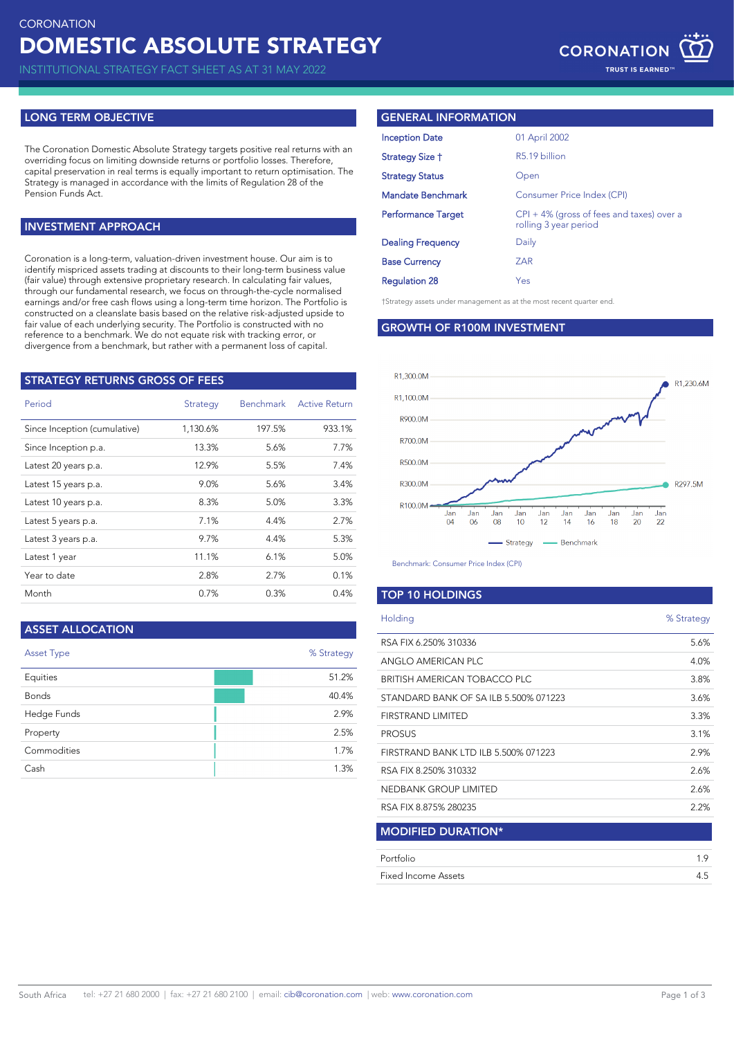INSTITUTIONAL STRATEGY FACT SHEET AS AT 31 MAY 2022

### **LONG TERM OBJECTIVE**

The Coronation Domestic Absolute Strategy targets positive real returns with an overriding focus on limiting downside returns or portfolio losses. Therefore, capital preservation in real terms is equally important to return optimisation. The Strategy is managed in accordance with the limits of Regulation 28 of the Pension Funds Act.

# **INVESTMENT APPROACH**

Coronation is a long-term, valuation-driven investment house. Our aim is to identify mispriced assets trading at discounts to their long-term business value (fair value) through extensive proprietary research. In calculating fair values, through our fundamental research, we focus on through-the-cycle normalised earnings and/or free cash flows using a long-term time horizon. The Portfolio is constructed on a cleanslate basis based on the relative risk-adjusted upside to fair value of each underlying security. The Portfolio is constructed with no reference to a benchmark. We do not equate risk with tracking error, or divergence from a benchmark, but rather with a permanent loss of capital.

| <b>STRATEGY RETURNS GROSS OF FEES</b> |          |           |                      |  |  |
|---------------------------------------|----------|-----------|----------------------|--|--|
| Period                                | Strategy | Benchmark | <b>Active Return</b> |  |  |
| Since Inception (cumulative)          | 1,130.6% | 197.5%    | 933.1%               |  |  |
| Since Inception p.a.                  | 13.3%    | 5.6%      | 7.7%                 |  |  |
| Latest 20 years p.a.                  | 12.9%    | 5.5%      | 7.4%                 |  |  |
| Latest 15 years p.a.                  | 9.0%     | 5.6%      | 3.4%                 |  |  |
| Latest 10 years p.a.                  | 8.3%     | 5.0%      | 3.3%                 |  |  |
| Latest 5 years p.a.                   | 7.1%     | 4.4%      | 2.7%                 |  |  |
| Latest 3 years p.a.                   | 9.7%     | 4.4%      | 5.3%                 |  |  |
| Latest 1 year                         | 11.1%    | 6.1%      | 5.0%                 |  |  |
| Year to date                          | 2.8%     | 2.7%      | 0.1%                 |  |  |
| Month                                 | 0.7%     | 0.3%      | 0.4%                 |  |  |

#### **ASSET ALLOCATION**

| <b>Asset Type</b> | % Strategy |
|-------------------|------------|
| Equities          | 51.2%      |
| <b>Bonds</b>      | 40.4%      |
| Hedge Funds       | 2.9%       |
| Property          | 2.5%       |
| Commodities       | 1.7%       |
| Cash              | 1.3%       |

#### **GENERAL INFORMATION**

| <b>Inception Date</b>     | 01 April 2002                                                         |
|---------------------------|-----------------------------------------------------------------------|
| Strategy Size †           | R5.19 billion                                                         |
| <b>Strategy Status</b>    | Open                                                                  |
| <b>Mandate Benchmark</b>  | Consumer Price Index (CPI)                                            |
| <b>Performance Target</b> | $CPI + 4\%$ (gross of fees and taxes) over a<br>rolling 3 year period |
| <b>Dealing Frequency</b>  | Daily                                                                 |
| <b>Base Currency</b>      | ZAR                                                                   |
| <b>Regulation 28</b>      | <b>Yes</b>                                                            |

†Strategy assets under management as at the most recent quarter end.

#### **GROWTH OF R100M INVESTMENT**



Benchmark: Consumer Price Index (CPI)

#### **TOP 10 HOLDINGS**

| Holding                               | % Strategy |
|---------------------------------------|------------|
| RSA FIX 6.250% 310336                 | 5.6%       |
| ANGLO AMERICAN PLC                    | 4.0%       |
| BRITISH AMERICAN TOBACCO PLC          | 3.8%       |
| STANDARD BANK OF SA ILB 5.500% 071223 | 3.6%       |
| FIRSTRAND LIMITED                     | 3.3%       |
| <b>PROSUS</b>                         | 3.1%       |
| FIRSTRAND BANK LTD ILB 5.500% 071223  | 2.9%       |
| RSA FIX 8.250% 310332                 | 2.6%       |
| NEDBANK GROUP LIMITED                 | 2.6%       |
| RSA FIX 8.875% 280235                 | 2.2%       |
| <b>MODIFIED DURATION*</b>             |            |
| Portfolio                             | 1.9        |
| Fixed Income Assets                   | 4.5        |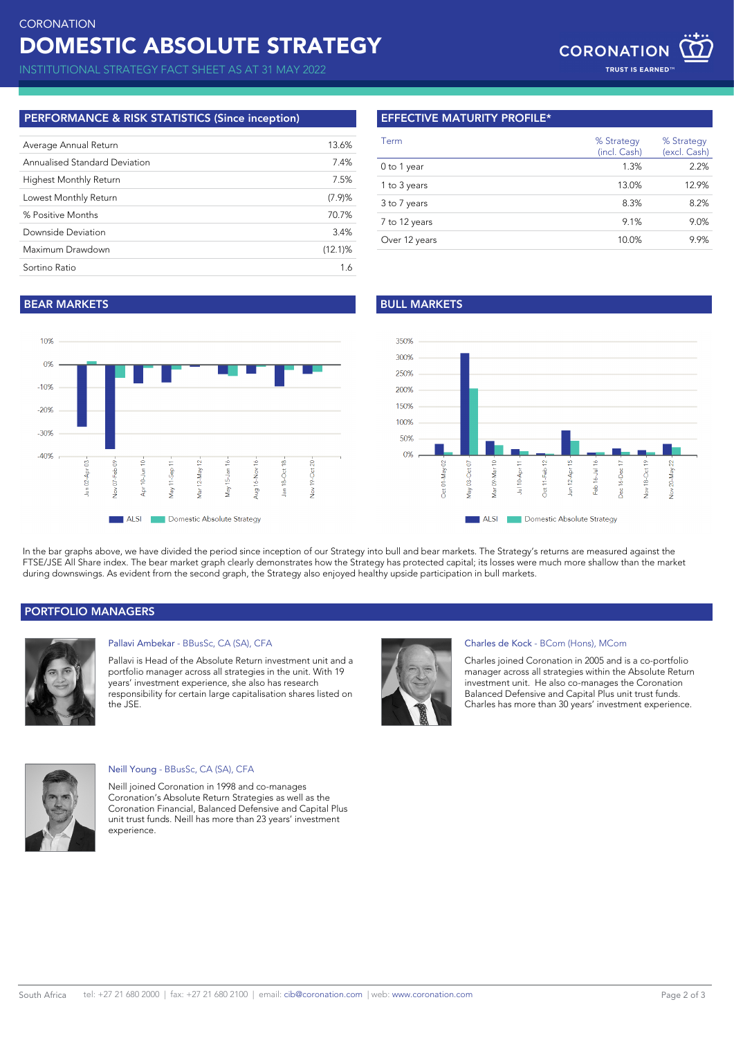# DOMESTIC ABSOLUTE STRATEGY **CORONATION**

INSTITUTIONAL STRATEGY FACT SHEET AS AT 31 MAY 2022

## **PERFORMANCE & RISK STATISTICS (Since inception)**

| Average Annual Return         | 13.6%      |
|-------------------------------|------------|
| Annualised Standard Deviation | 7.4%       |
| <b>Highest Monthly Return</b> | 7.5%       |
| Lowest Monthly Return         | (7.9)%     |
| % Positive Months             | 70.7%      |
| Downside Deviation            | 3.4%       |
| Maximum Drawdown              | $(12.1)$ % |
| Sortino Ratio                 | 1.6        |
|                               |            |

# **EFFECTIVE MATURITY PROFILE\***

| Term          | % Strategy<br>(incl. Cash) | % Strategy<br>(excl. Cash) |
|---------------|----------------------------|----------------------------|
| 0 to 1 year   | 1.3%                       | 2.2%                       |
| 1 to 3 years  | 13.0%                      | 12.9%                      |
| 3 to 7 years  | 8.3%                       | 8.2%                       |
| 7 to 12 years | 9.1%                       | 9.0%                       |
| Over 12 years | 10.0%                      | 9.9%                       |

# **BEAR MARKETS BULL MARKETS**





In the bar graphs above, we have divided the period since inception of our Strategy into bull and bear markets. The Strategy's returns are measured against the FTSE/JSE All Share index. The bear market graph clearly demonstrates how the Strategy has protected capital; its losses were much more shallow than the market during downswings. As evident from the second graph, the Strategy also enjoyed healthy upside participation in bull markets.

# **PORTFOLIO MANAGERS**



## Pallavi Ambekar - BBusSc, CA (SA), CFA

Pallavi is Head of the Absolute Return investment unit and a portfolio manager across all strategies in the unit. With 19 years' investment experience, she also has research responsibility for certain large capitalisation shares listed on the JSE.



#### Charles de Kock - BCom (Hons), MCom

Charles joined Coronation in 2005 and is a co-portfolio manager across all strategies within the Absolute Return investment unit. He also co-manages the Coronation Balanced Defensive and Capital Plus unit trust funds. Charles has more than 30 years' investment experience.



#### Neill Young - BBusSc, CA (SA), CFA

Neill joined Coronation in 1998 and co-manages Coronation's Absolute Return Strategies as well as the Coronation Financial, Balanced Defensive and Capital Plus unit trust funds. Neill has more than 23 years' investment experience.